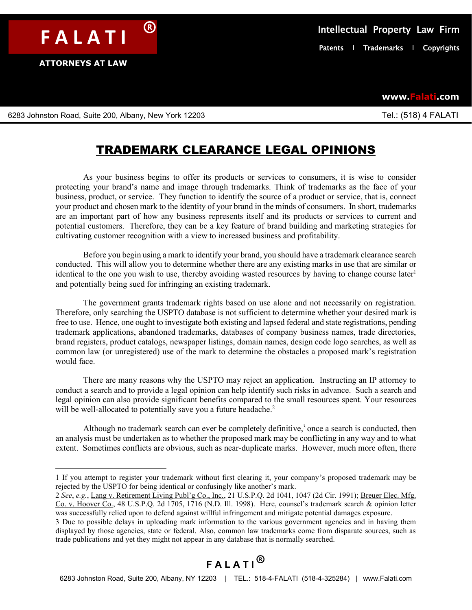**ATTORNEYS AT LAW**

**www.Falati.com**

6283 Johnston Road, Suite 200, Albany, New York 12203 **Tel.: (518) 4 FALATI** 

## TRADEMARK CLEARANCE LEGAL OPINIONS

As your business begins to offer its products or services to consumers, it is wise to consider protecting your brand's name and image through trademarks. Think of trademarks as the face of your business, product, or service. They function to identify the source of a product or service, that is, connect your product and chosen mark to the identity of your brand in the minds of consumers. In short, trademarks are an important part of how any business represents itself and its products or services to current and potential customers. Therefore, they can be a key feature of brand building and marketing strategies for cultivating customer recognition with a view to increased business and profitability.

Before you begin using a mark to identify your brand, you should have a trademark clearance search conducted. This will allow you to determine whether there are any existing marks in use that are similar or identical to the one you wish to use, thereby avoiding wasted resources by having to change course later<sup>1</sup> and potentially being sued for infringing an existing trademark.

The government grants trademark rights based on use alone and not necessarily on registration. Therefore, only searching the USPTO database is not sufficient to determine whether your desired mark is free to use. Hence, one ought to investigate both existing and lapsed federal and state registrations, pending trademark applications, abandoned trademarks, databases of company business names, trade directories, brand registers, product catalogs, newspaper listings, domain names, design code logo searches, as well as common law (or unregistered) use of the mark to determine the obstacles a proposed mark's registration would face.

There are many reasons why the USPTO may reject an application. Instructing an IP attorney to conduct a search and to provide a legal opinion can help identify such risks in advance. Such a search and legal opinion can also provide significant benefits compared to the small resources spent. Your resources will be well-allocated to potentially save you a future headache.<sup>2</sup>

Although no trademark search can ever be completely definitive, <sup>3</sup> once a search is conducted, then an analysis must be undertaken as to whether the proposed mark may be conflicting in any way and to what extent. Sometimes conflicts are obvious, such as near-duplicate marks. However, much more often, there

## **F A L A T I** ®

<sup>1</sup> If you attempt to register your trademark without first clearing it, your company's proposed trademark may be rejected by the USPTO for being identical or confusingly like another's mark.

<sup>2</sup> *See*, *e.g.*, Lang v. Retirement Living Publ'g Co., Inc., 21 U.S.P.Q. 2d 1041, 1047 (2d Cir. 1991); Breuer Elec. Mfg. Co. v. Hoover Co., 48 U.S.P.Q. 2d 1705, 1716 (N.D. Ill. 1998). Here, counsel's trademark search & opinion letter was successfully relied upon to defend against willful infringement and mitigate potential damages exposure.

<sup>3</sup> Due to possible delays in uploading mark information to the various government agencies and in having them displayed by those agencies, state or federal. Also, common law trademarks come from disparate sources, such as trade publications and yet they might not appear in any database that is normally searched.